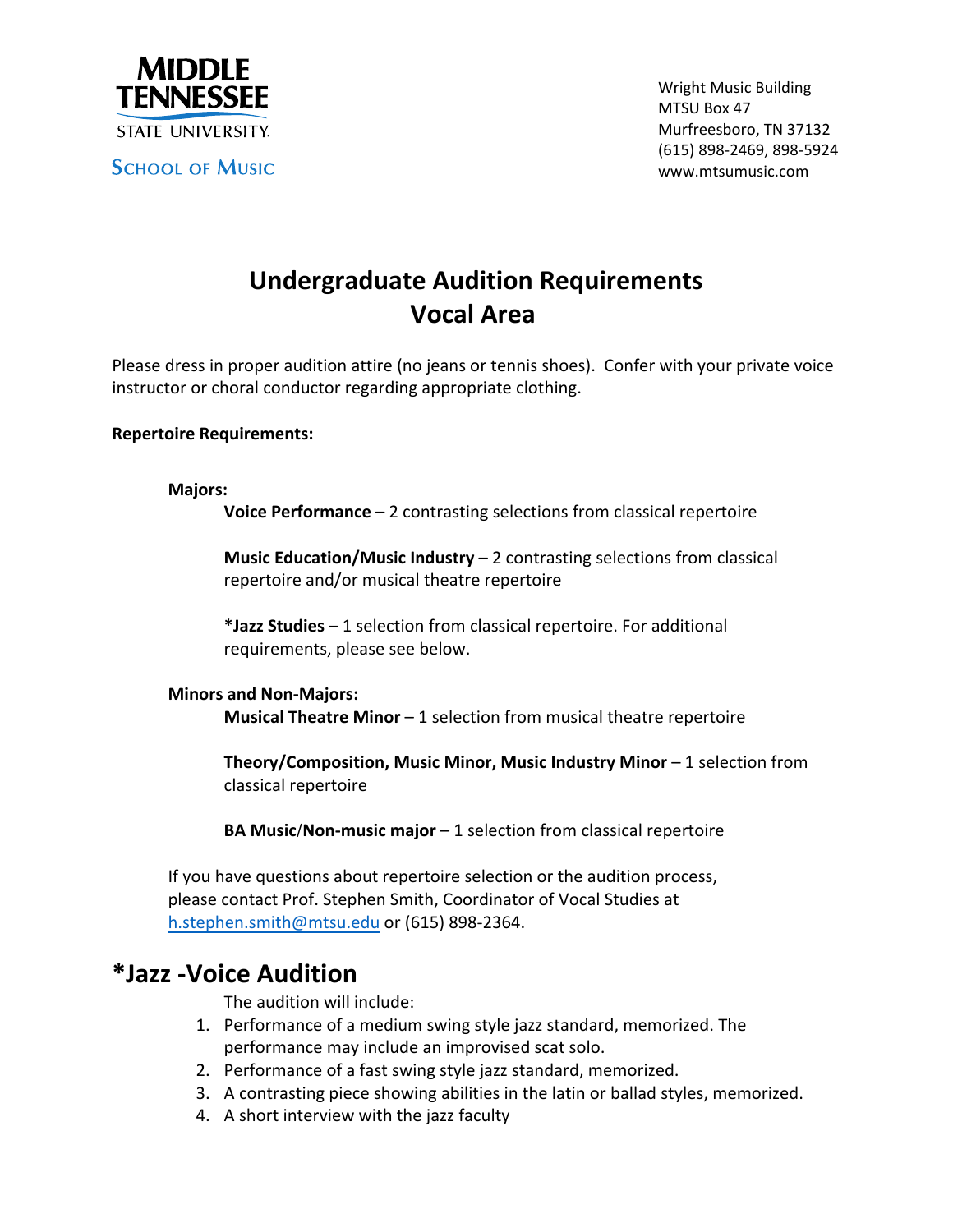

## **Undergraduate Audition Requirements Vocal Area**

Please dress in proper audition attire (no jeans or tennis shoes). Confer with your private voice instructor or choral conductor regarding appropriate clothing.

## **Repertoire Requirements:**

**Majors:**

**Voice Performance** – 2 contrasting selections from classical repertoire

**Music Education/Music Industry** – 2 contrasting selections from classical repertoire and/or musical theatre repertoire

**\*Jazz Studies** – 1 selection from classical repertoire. For additional requirements, please see below.

**Minors and Non‐Majors: Musical Theatre Minor** – 1 selection from musical theatre repertoire

**Theory/Composition, Music Minor, Music Industry Minor** – 1 selection from classical repertoire

**BA Music/Non‐music major** – 1 selection from classical repertoire

If you have questions about repertoire selection or the audition process, please contact Prof. Stephen Smith, Coordinator of Vocal Studies at h[.stephen.smith@mtsu.edu](mailto:h.stephen.smith@mtsu.edu) or (615) 898‐2364.

## **\*Jazz ‐Voice Audition**

The audition will include:

- 1. Performance of a medium swing style jazz standard, memorized. The performance may include an improvised scat solo.
- 2. Performance of a fast swing style jazz standard, memorized.
- 3. A contrasting piece showing abilities in the latin or ballad styles, memorized.
- 4. A short interview with the jazz faculty